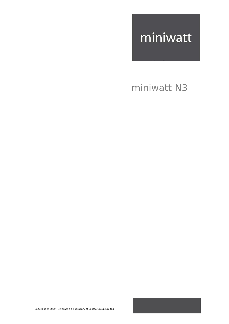### miniwatt N3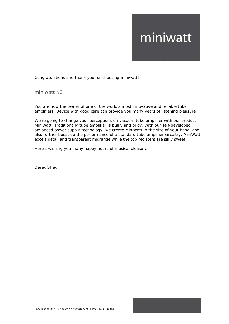Congratulations and thank you for choosing miniwatt!

miniwatt N3

You are now the owner of one of the world's most innovative and reliable tube amplifiers. Device with good care can provide you many years of listening pleasure.

We're going to change your perceptions on vacuum tube amplifier with our product – MiniWatt. Traditionally tube amplifier is bulky and pricy. With our self-developed advanced power supply technology, we create MiniWatt in the size of your hand, and also further boost up the performance of a standard tube amplifier circuitry. MiniWatt excels detail and transparent midrange while the top registers are silky sweet.

Here's wishing you many happy hours of musical pleasure!

Derek Shek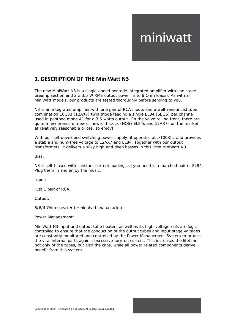### **1. DESCRIPTION OF THE MiniWatt N3**

The new MiniWatt N3 is a single-ended pentode integrated amplifier with line stage preamp section and 2 x 3.5 W RMS output power (into 8 Ohm loads). As with all MiniWatt models, our products are tested thoroughly before sending to you.

N3 is an integrated amplifier with one pair of RCA inputs and a well-renounced tube combination ECC83 (12AX7) twin triode feeding a single EL84 (6BQ5) per channel used in pentode mode A1 for a 3.5 watts output. On the valve rolling front, there are quite a few brands of new or new-old-stock (NOS) EL84s and 12AX7s on the market at relatively reasonable prices, so enjoy!

With our self-developed switching power supply, it operates at >100Khz and provides a stable and hum-free voltage to 12AX7 and EL84. Together with our output transformers, it delivers a silky high and deep basses in this little MiniWatt N3.

Bias:

N3 is self-biased with constant current loading, all you need is a matched pair of EL84. Plug them in and enjoy the music.

Input:

Just 1 pair of RCA.

Output:

8/6/4 Ohm speaker terminals (banana jacks).

Power Management:

MiniWatt N3 input and output tube heaters as well as its high-voltage rails are logic controlled to ensure that the conduction of the output tubes and input stage voltages are constantly monitored and controlled by the Power Management System to protect the vital internal parts against excessive turn-on current. This increases the lifetime not only of the tubes, but also the caps, while all power related components derive benefit from this system.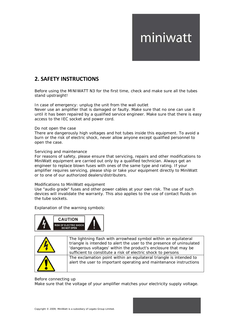### **2. SAFETY INSTRUCTIONS**

Before using the MINIWATT N3 for the first time, check and make sure all the tubes stand upstraight!

In case of emergency: unplug the unit from the wall outlet

Never use an amplifier that is damaged or faulty. Make sure that no one can use it until it has been repaired by a qualified service engineer. Make sure that there is easy access to the IEC socket and power cord.

#### Do not open the case

There are dangerously high voltages and hot tubes inside this equipment. To avoid a burn or the risk of electric shock, never allow anyone except qualified personnel to open the case.

#### Servicing and maintenance

For reasons of safety, please ensure that servicing, repairs and other modifications to MiniWatt equipment are carried out only by a qualified technician. Always get an engineer to replace blown fuses with ones of the same type and rating. If your amplifier requires servicing, please ship or take your equipment directly to MiniWatt or to one of our authorized dealers/distributers.

#### Modifications to MiniWatt equipment

Use "audio grade" fuses and other power cables at your own risk. The use of such devices will invalidate the warranty. This also applies to the use of contact fluids on the tube sockets.

Explanation of the warning symbols:





The lightning flash with arrowhead symbol within an equilateral triangle is intended to alert the user to the presence of uninsulated 'dangerous voltages' within the product's enclosure that may be sufficient to constitute a risk of electric shock to persons The exclamation point within an equilateral triangle is intended to alert the user to important operating and maintenance instructions

#### Before connecting up

Make sure that the voltage of your amplifier matches your electricity supply voltage.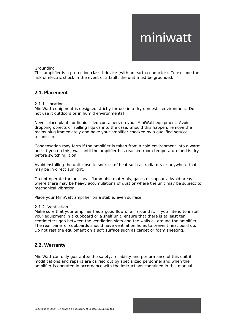#### Grounding

This amplifier is a protection class I device (with an earth conductor). To exclude the risk of electric shock in the event of a fault, the unit must be grounded.

#### **2.1. Placement**

#### 2.1.1. Location

MiniWatt equipment is designed strictly for use in a dry domestic environment. Do not use it outdoors or in humid environments!

Never place plants or liquid-filled containers on your MiniWatt equipment. Avoid dropping objects or spilling liquids into the case. Should this happen, remove the mains plug immediately and have your amplifier checked by a qualified service technician.

Condensation may form if the amplifier is taken from a cold environment into a warm one. If you do this, wait until the amplifier has reached room temperature and is dry before switching it on.

Avoid installing the unit close to sources of heat such as radiators or anywhere that may be in direct sunlight.

Do not operate the unit near flammable materials, gases or vapours. Avoid areas where there may be heavy accumulations of dust or where the unit may be subject to mechanical vibration.

Place your MiniWatt amplifier on a stable, even surface.

#### 2.1.2. Ventilation

Make sure that your amplifier has a good flow of air around it. If you intend to install your equipment in a cupboard or a shelf unit, ensure that there is at least ten centimeters gap between the ventilation slots and the walls all around the amplifier. The rear panel of cupboards should have ventilation holes to prevent heat build up. Do not rest the equipment on a soft surface such as carpet or foam sheeting.

#### **2.2. Warranty**

MiniWatt can only guarantee the safety, reliability and performance of this unit if modifications and repairs are carried out by specialized personnel and when the amplifier is operated in accordance with the instructions contained in this manual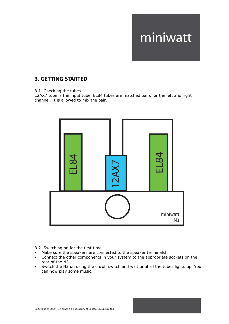### **3. GETTING STARTED**

3.1. Checking the tubes

12AX7 tube is the input tube. EL84 tubes are matched pairs for the left and right channel. It is allowed to mix the pair.



#### 3.2. Switching on for the first time

- Make sure the speakers are connected to the speaker terminals!
- Connect the other components in your system to the appropriate sockets on the rear of the N3.
- Switch the N3 on using the on/off switch and wait until all the tubes lights up. You can now play some music.

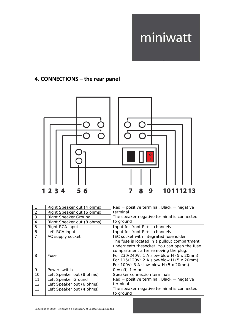### **4. CONNECTIONS – the rear panel**



|                | Right Speaker out (4 ohms)  | $Red = positive terminal, Black = negative$  |
|----------------|-----------------------------|----------------------------------------------|
| 2              | Right Speaker out (6 ohms)  | terminal                                     |
| 3              | <b>Right Speaker Ground</b> | The speaker negative terminal is connected   |
| 4              | Right Speaker out (8 ohms)  | to ground                                    |
| 5              | Right RCA input             | Input for front $R + L$ channels             |
| 6              | Left RCA input              | Input for front $R + L$ channels             |
| $\overline{7}$ | AC supply socket            | IEC socket with integrated fuseholder        |
|                |                             | The fuse is located in a pullout compartment |
|                |                             | underneath thesocket. You can open the fuse  |
|                |                             | compartment after removing the plug.         |
| 8              | Fuse                        | For 230/240V: 1 A slow-blow H (5 x 20mm)     |
|                |                             | For 115/120V: 2 A slow-blow H (5 x 20mm)     |
|                |                             | For 100V: 3 A slow-blow H (5 x 20mm)         |
| 9              | Power switch                | $0 = \text{off}$ ; 1 = on.                   |
| 10             | Left Speaker out (8 ohms)   | Speaker connection terminals.                |
| 11             | Left Speaker Ground         | $Red = positive terminal, Black = negative$  |
| 12             | Left Speaker out (6 ohms)   | terminal                                     |
| 13             | Left Speaker out (4 ohms)   | The speaker negative terminal is connected   |
|                |                             | to ground                                    |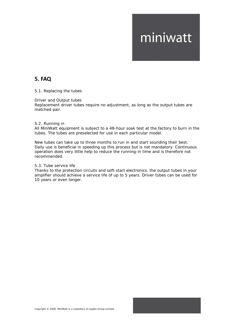### **5. FAQ**

#### 5.1. Replacing the tubes

#### Driver and Output tubes

Replacement driver tubes require no adjustment, as long as the output tubes are matched pair.

#### 5.2. Running in

All MiniWatt equipment is subject to a 48-hour soak test at the factory to burn in the tubes. The tubes are preselected for use in each particular model.

New tubes can take up to three months to run in and start sounding their best. Daily use is beneficial in speeding up this process but is not mandatory. Continuous operation does very little help to reduce the running-in time and is therefore *not*  recommended.

#### 5.3. Tube service life

Thanks to the protection circuits and soft-start electronics, the output tubes in your amplifier should achieve a service life of up to 5 years. Driver tubes can be used for 10 years or even longer.